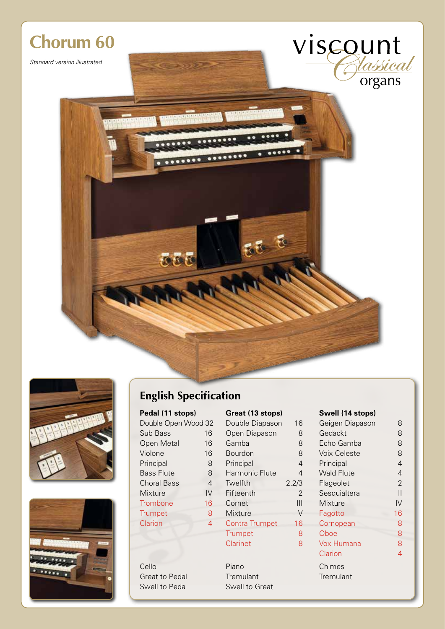# **Chorum 60**

*Standard version illustrated*





## **English Specification**

 $.........$ 

 $1 - 1$ 

C

| Double Open Wood 3 |              |
|--------------------|--------------|
| Sub Bass           | 1            |
| Open Metal         | $\mathbf{1}$ |
| Violone            | $\mathbf{1}$ |
| Principal          |              |
| <b>Bass Flute</b>  |              |
| <b>Choral Bass</b> |              |
| Mixture            | ľ            |
| Trombone           | $\mathbf{1}$ |
| Trumpet            |              |
| Clarion            |              |
|                    |              |

Great to Pedal Tremulant

| Pedal (11 stops)    |    | Great (13 stops) | Swell (14 stops) |                     |
|---------------------|----|------------------|------------------|---------------------|
| Double Open Wood 32 |    | Double Diapason  | 16               | Geigen Diapason     |
| Sub Bass            | 16 | Open Diapason    | 8                | Gedackt             |
| Open Metal          | 16 | Gamba            | 8                | Echo Gamba          |
| Violone             | 16 | <b>Bourdon</b>   | 8                | <b>Voix Celeste</b> |
| Principal           | 8  | Principal        | 4                | Principal           |
| <b>Bass Flute</b>   | 8  | Harmonic Flute   | 4                | <b>Wald Flute</b>   |
| <b>Choral Bass</b>  | 4  | Twelfth          | 2.2/3            | Flageolet           |
| <b>Mixture</b>      | IV | Fifteenth        | $\mathfrak{D}$   | Sesquialtera        |
| Trombone            | 16 | Cornet           | Ш                | <b>Mixture</b>      |
| <b>Trumpet</b>      | 8  | Mixture          | $\vee$           | Fagotto             |
| Clarion             | 4  | Contra Trumpet   | 16               | Cornopean           |
|                     |    | <b>Trumpet</b>   | 8                | Oboe                |
|                     |    | <b>Clarinet</b>  | 8                | Vox Humana          |
|                     |    |                  |                  | Clarian             |

5 F

 $-0$ 

Cello Piano Chimes Swell to Peda Swell to Great

viscount

| Double Open Wood 32   |    | Double Diapason | 16             | Geigen Diapason   | 8              |
|-----------------------|----|-----------------|----------------|-------------------|----------------|
| Sub Bass<br>16        |    | Open Diapason   | 8              | Gedackt           | 8              |
| <b>Open Metal</b>     | 16 | Gamba           | 8              | Echo Gamba        | 8              |
| Violone               | 16 | Bourdon         | 8              | Voix Celeste      | 8              |
| Principal<br>8        |    | Principal       | $\overline{4}$ | Principal         | $\overline{4}$ |
| <b>Bass Flute</b>     | 8  | Harmonic Flute  | 4              | <b>Wald Flute</b> | $\overline{4}$ |
| <b>Choral Bass</b>    | 4  | Twelfth         | 2.2/3          | Flageolet         | $\overline{2}$ |
| Mixture               | IV | Fifteenth       | 2              | Sesquialtera      | $\vert$        |
| Trombone              | 16 | Cornet          | Ш              | <b>Mixture</b>    | $\mathsf{IV}$  |
| <b>Trumpet</b>        | 8  | <b>Mixture</b>  | $\vee$         | Fagotto           | 16             |
| Clarion               | 4  | Contra Trumpet  | 16             | Cornopean         | 8              |
|                       |    | <b>Trumpet</b>  | 8              | Oboe              | 8              |
|                       |    | <b>Clarinet</b> | 8              | Vox Humana        | 8              |
|                       |    |                 |                | Clarion           | $\overline{4}$ |
| Cello                 |    | Piano           |                | Chimes            |                |
| <b>Great to Pedal</b> |    | Tremulant       |                | Tremulant         |                |
|                       |    |                 |                |                   |                |